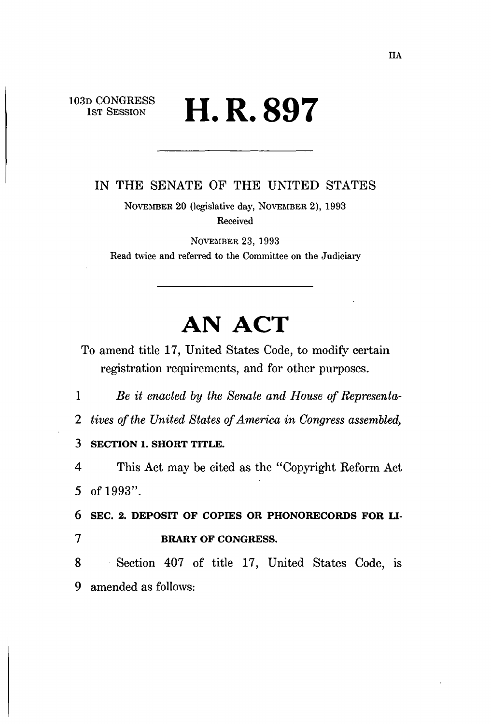## $D$  CONGRESS **II D Q07**  $\mathbf{11.} \mathbf{N.}$   $\mathbf{O.}$

IN THE SENATE OF THE UNITED STATES

NOVEMBER 20 (legislative day, NOVEMBER 2), 1993 Received

NOVEMBER 23, 1993 Read twice and referred to the Committee on the Judiciary

# **AN ACT**

To amend title 17, United States Code, to modify certain registration requirements, and for other purposes.

1 *Be it enacted by the Senate and House of Representa-*

*2 tives of the United States of America in Congress assembled,* 

3 **SECTION 1. SHORT TITLE.** 

4 This Act may be cited as the "Copyright Reform Act 5 of 1993".

6 SEC. 2. DEPOSIT OF COPIES OR PHONORECORDS FOR LI-7 BRARY OF CONGRESS.

8 Section 407 of title 17, United States Code, is 9 amended as follows: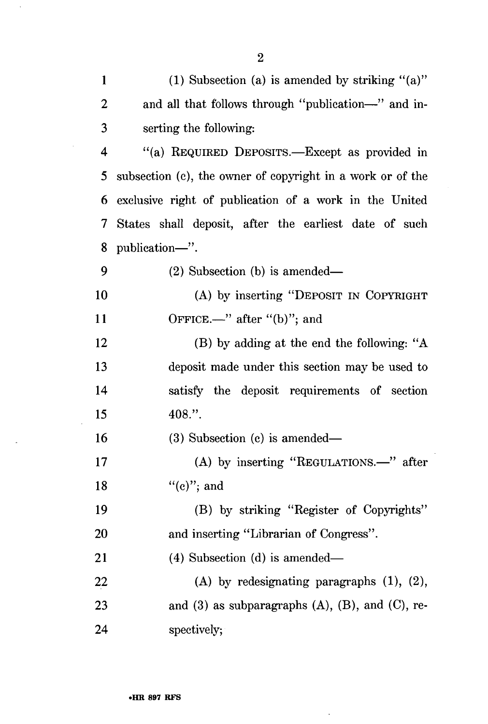| $\mathbf{1}$   | (1) Subsection (a) is amended by striking " $(a)$ "        |
|----------------|------------------------------------------------------------|
| $\overline{2}$ | and all that follows through "publication-" and in-        |
| 3              | serting the following:                                     |
| 4              | "(a) REQUIRED DEPOSITS.—Except as provided in              |
| 5              | subsection (c), the owner of copyright in a work or of the |
| 6              | exclusive right of publication of a work in the United     |
| 7              | States shall deposit, after the earliest date of such      |
| 8              | publication—".                                             |
| 9              | $(2)$ Subsection (b) is amended—                           |
| 10             | (A) by inserting "DEPOSIT IN COPYRIGHT                     |
| <b>11</b>      | OFFICE.—" after " $(b)$ "; and                             |
| 12             | (B) by adding at the end the following: "A                 |
| 13             | deposit made under this section may be used to             |
| 14             | satisfy the deposit requirements of section                |
| 15             | 408.".                                                     |
| 16             | $(3)$ Subsection $(c)$ is amended—                         |
| 17             | (A) by inserting "REGULATIONS.—" after                     |
| 18             | $``(e)''$ ; and                                            |
| 19             | (B) by striking "Register of Copyrights"                   |
| 20             | and inserting "Librarian of Congress".                     |
| 21             | $(4)$ Subsection $(d)$ is amended—                         |
| 22             | $(A)$ by redesignating paragraphs $(1)$ , $(2)$ ,          |
| 23             | and $(3)$ as subparagraphs $(A)$ , $(B)$ , and $(C)$ , re- |
| 24             | spectively;                                                |

 $\bar{\mathcal{A}}$ 

J.

 $\hat{\mathcal{A}}$ 

 $\sim 10^7$ 

 $\mathcal{A}_\mathrm{c}$ 

 $\mathcal{L}$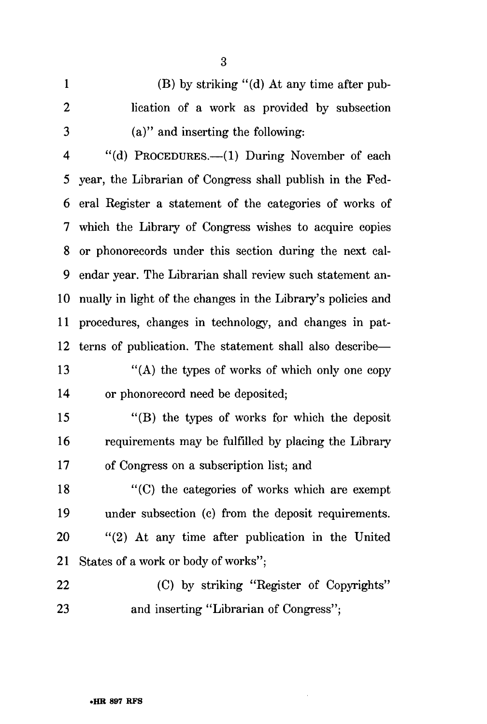1 (B) by striking "(d) At any time after pub-2 lication of a work as provided by subsection 3 (a)" and inserting the following: 4 "(d) PROCEDURES.—(1) During November of each 5 year, the Librarian of Congress shall publish in the Fed-6 eral Register a statement of the categories of works of 7 which the Library of Congress wishes to acquire copies 8 or phonorecords under this section during the next cal-9 endar year. The Librarian shall review such statement an-10 nually in light of the changes in the Library's policies and 11 procedures, changes in technology, and changes in pat-12 terns of publication. The statement shall also describe— 13 "(A) the types of works of which only one copy 14 or phonorecord need be deposited; 15 "(B) the types of works for which the deposit 16 requirements may be fulfilled by placing the Library 17 of Congress on a subscription list; and 18 "(C) the categories of works which are exempt 19 under subsection (c) from the deposit requirements. 20 "(2) At any time after publication in the United 21 States of a work or body of works"; 22 (C) by striking "Register of Copyrights" 23 and inserting "Librarian of Congress";

3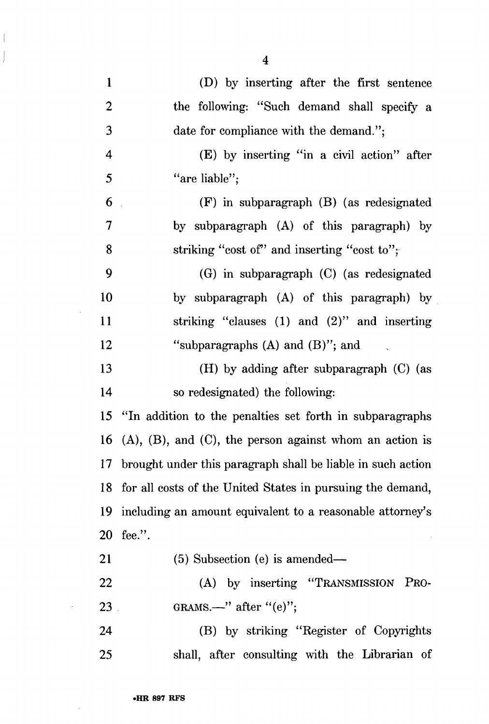1 (D) by inserting after the first sentence 2 the following: "Such demand shall specify a 3 date for compliance with the demand."; 4 (E) by inserting "in a civil action" after 5 "are liable"; 6 (F) in subparagraph (B) (as redesignated 7 by subparagraph (A) of this paragraph) by 8 striking "cost of" and inserting "cost to"; 9 (G) in subparagraph (C) (as redesignated 10 by subparagraph (A) of this paragraph) by 11 striking "clauses (1) and (2)" and inserting 12 "subparagraphs (A) and (B)"; and 13 (H) by adding after subparagraph (C) (as 14 so redesignated) the following: 15 "In addition to the penalties set forth in subparagraphs 16 (A),  $(B)$ , and  $(C)$ , the person against whom an action is 17 brought under this paragraph shall be liable in such action 18 for all costs of the United States in pursuing the demand, 19 including an amount equivalent to a reasonable attorney's 20 fee.". 21 (5) Subsection (e) is amended— 22 (A) by inserting "TRANSMISSION PRO-23 GRAMS.—" after " $(e)$ "; 24 (B) by striking "Register of Copyrights

25 shall, after consulting with the Librarian of

4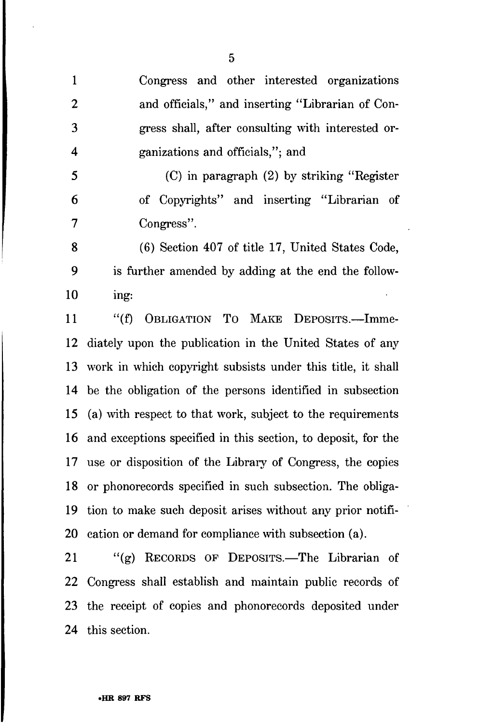1 Congress and other interested organizations 2 and officials," and inserting "Librarian of Con-3 gress shall, after consulting with interested or-4 ganizations and officials,"; and

5 (C) in paragraph (2) by striking "Register 6 of Copyrights" and inserting "Librarian of 7 Congress".

8 (6) Section 407 of title 17, United States Code, 9 is further amended by adding at the end the follow-10 ing:

11 "(f) OBLIGATION TO MAKE DEPOSITS.—Imme-12 diately upon the publication in the United States of any 13 work in which copyright subsists under this title, it shall 14 be the obligation of the persons identified in subsection 15 (a) with respect to that work, subject to the requirements 16 and exceptions specified in this section, to deposit, for the 17 use or disposition of the Library of Congress, the copies 18 or phonorecords specified in such subsection. The obliga-19 tion to make such deposit arises without any prior notifi-20 cation or demand for compliance with subsection (a).

21 "(g) RECORDS OF DEPOSITS.—The Librarian of 22 Congress shall establish and maintain public records of 23 the receipt of copies and phonorecords deposited under 24 this section.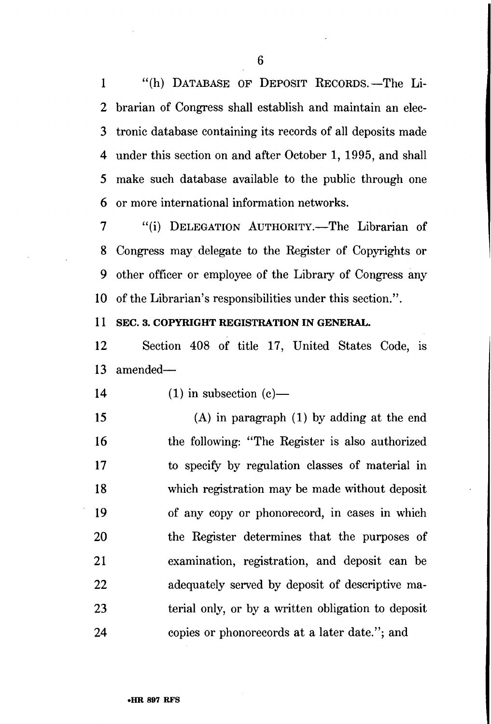1 "(h) DATABASE OF DEPOSIT RECORDS.—The Li-2 brarian of Congress shall establish and maintain an elec-3 tronic database containing its records of all deposits made 4 under this section on and after October 1, 1995, and shall 5 make such database available to the public through one 6 or more international information networks.

7 "(i) DELEGATION AUTHORITY.—The Librarian of 8 Congress may delegate to the Register of Copyrights or 9 other officer or employee of the Library of Congress any 10 of the Librarian's responsibilities under this section.".

#### **11 SEC. 3. COPYRIGHT REGISTRATION IN GENERAL.**

12 Section 408 of title 17, United States Code, is 13 amended—

- 14 (1) in subsection  $(c)$ —
- 15 (A) in paragraph (1) by adding at the end 16 the following: "The Register is also authorized 17 to specify by regulation classes of material in 18 which registration may be made without deposit 19 of any copy or phonorecord, in cases in which 20 the Register determines that the purposes of 21 examination, registration, and deposit can be 22 adequately served by deposit of descriptive ma-23 terial only, or by a written obligation to deposit 24 copies or phonorecords at a later date."; and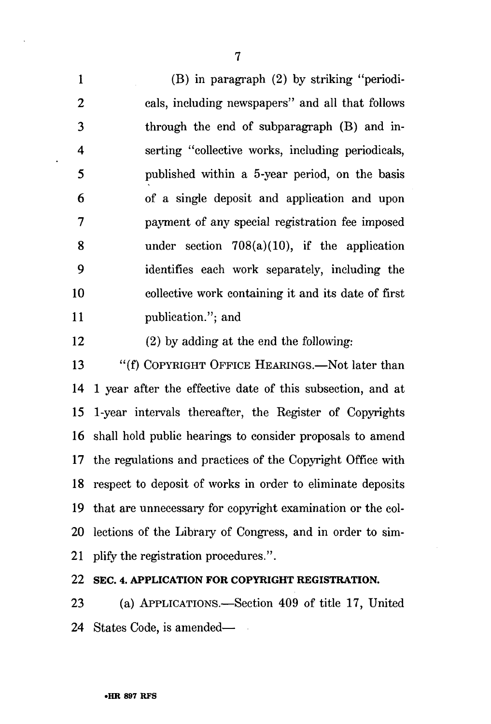1 (B) in paragraph (2) by striking "periodi-2 cals, including newspapers" and all that follows 3 through the end of subparagraph (B) and in-4 serting "collective works, including periodicals, 5 published within a 5-year period, on the basis 6 of a single deposit and application and upon 7 payment of any special registration fee imposed 8 under section 708(a)(10), if the application 9 identifies each work separately, including the 10 collective work containing it and its date of first 11 publication."; and

12 (2) by adding at the end the following:

13 "(f) COPYRIGHT OFFICE HEARINGS.—Not later than 14 1 year after the effective date of this subsection, and at 15 1-year intervals thereafter, the Register of Copyrights 16 shall hold public hearings to consider proposals to amend 17 the regulations and practices of the Copyright Office with 18 respect to deposit of works in order to eliminate deposits 19 that are unnecessary for copyright examination or the col-20 lections of the Library of Congress, and in order to sim-21 plify the registration procedures.".

**22 SEC. 4. APPLICATION FOR COPYRIGHT REGISTRATION.** 

23 (a) APPLICATIONS.—Section 409 of title 17, United 24 States Code, is amended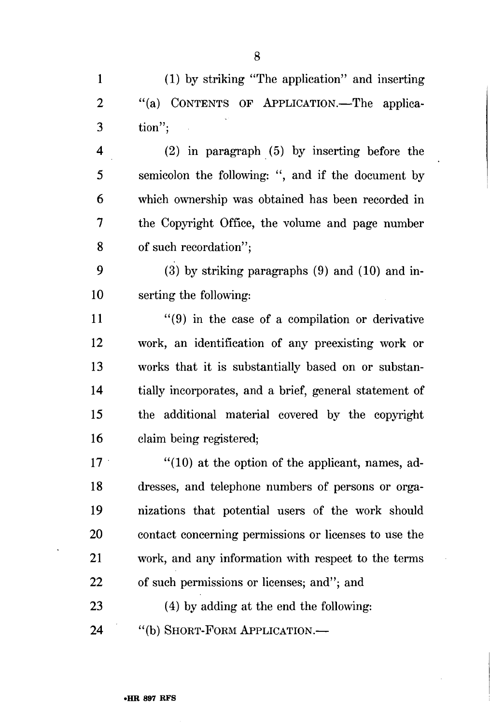1 (1) by striking "The application" and inserting 2 "(a) CONTENTS OF APPLICATION.—The applica-3 tion";

4 (2) in paragraph (5) by inserting before the 5 semicolon the following: ", and if the document by 6 which ownership was obtained has been recorded in 7 the Copyright Office, the volume and page number 8 of such recordation";

9 (3) by striking paragraphs (9) and (10) and in-10 serting the following:

 $11$  "(9) in the case of a compilation or derivative 12 work, an identification of any preexisting work or 13 works that it is substantially based on or substan-14 tially incorporates, and a brief, general statement of 15 the additional material covered by the copyright 16 claim being registered;

17 "(10) at the option of the applicant, names, ad-18 dresses, and telephone numbers of persons or orga-19 nizations that potential users of the work should 20 contact concerning permissions or licenses to use the 21 work, and any information with respect to the terms 22 of such permissions or licenses; and"; and 23 (4) by adding at the end the following:

24 "(b) SHORT-FORM APPLICATION.—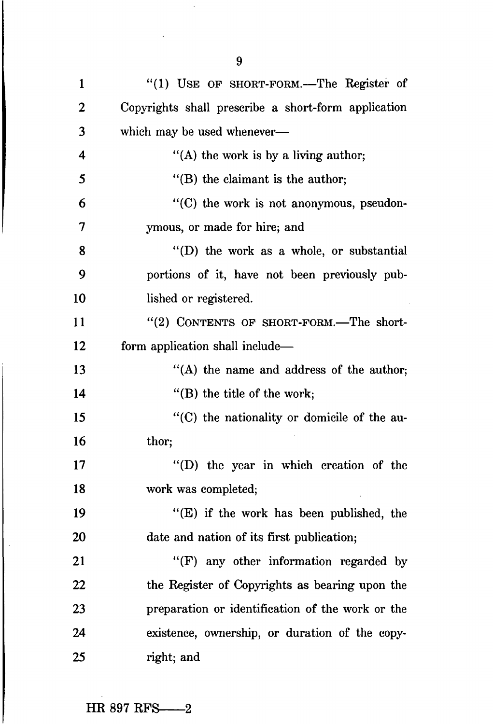| $\mathbf{1}$   | "(1) USE OF SHORT-FORM.—The Register of             |
|----------------|-----------------------------------------------------|
| $\overline{2}$ | Copyrights shall prescribe a short-form application |
| 3              | which may be used whenever-                         |
| 4              | "(A) the work is by a living author;                |
| 5              | $\lq$ (B) the claimant is the author;               |
| 6              | $\cdot$ (C) the work is not anonymous, pseudon-     |
| 7              | ymous, or made for hire; and                        |
| 8              | "(D) the work as a whole, or substantial            |
| 9              | portions of it, have not been previously pub-       |
| 10             | lished or registered.                               |
| 11             | "(2) CONTENTS OF SHORT-FORM.—The short-             |
| 12             | form application shall include—                     |
| 13             | "(A) the name and address of the author;            |
| 14             | $\lq$ (B) the title of the work;                    |
| 15             | "(C) the nationality or domicile of the au-         |
| 16             | thor;                                               |
| 17             | "(D) the year in which creation of the              |
| 18             | work was completed;                                 |
| 19             | "(E) if the work has been published, the            |
| 20             | date and nation of its first publication;           |
| 21             | "(F) any other information regarded by              |
| 22             | the Register of Copyrights as bearing upon the      |
| 23             | preparation or identification of the work or the    |
| 24             | existence, ownership, or duration of the copy-      |
| 25             | right; and                                          |

 $\ddot{\phantom{a}}$ 

 $\bar{\beta}$ 

 $\ddot{\phantom{0}}$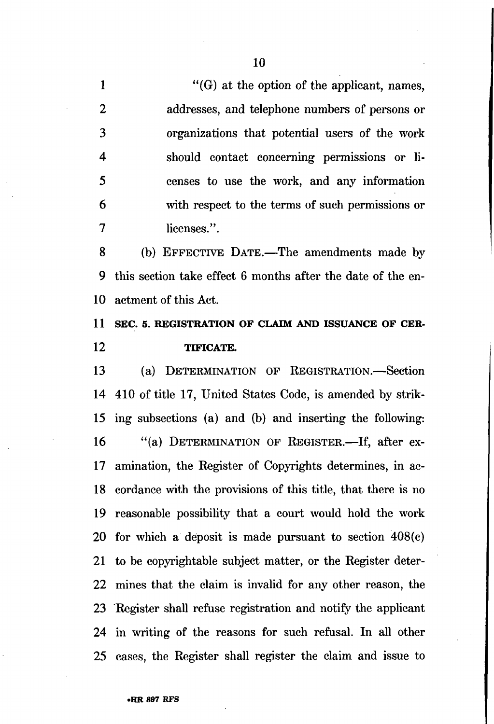1  $"$ (G) at the option of the applicant, names, 2 addresses, and telephone numbers of persons or 3 organizations that potential users of the work 4 should contact concerning permissions or li-5 censes to use the work, and any information 6 with respect to the terms of such permissions or 7 licenses.".

8 (b) EFFECTIVE DATE.—The amendments made by 9 this section take effect 6 months after the date of the en-10 actment of this Act.

# **11 SEC. 5. REGISTRATION OF CLAIM AND ISSUANCE OF CER-12 TTFICATE.**

13 (a) DETERMINATION OF REGISTRATION.—Section 14 410 of title 17, United States Code, is amended by strik-15 ing subsections (a) and (b) and inserting the following: 16 "(a) DETERMINATION OF REGISTER.—If, after ex-17 amination, the Register of Copyrights determines, in ac-18 cordance with the provisions of this title, that there is no 19 reasonable possibility that a court would hold the work 20 for which a deposit is made pursuant to section 408(c) 21 to be copyrightable subject matter, or the Register deter-22 mines that the claim is invalid for any other reason, the 23 Register shall refuse registration and notify the applicant 24 in writing of the reasons for such refusal. In all other 25 cases, the Register shall register the claim and issue to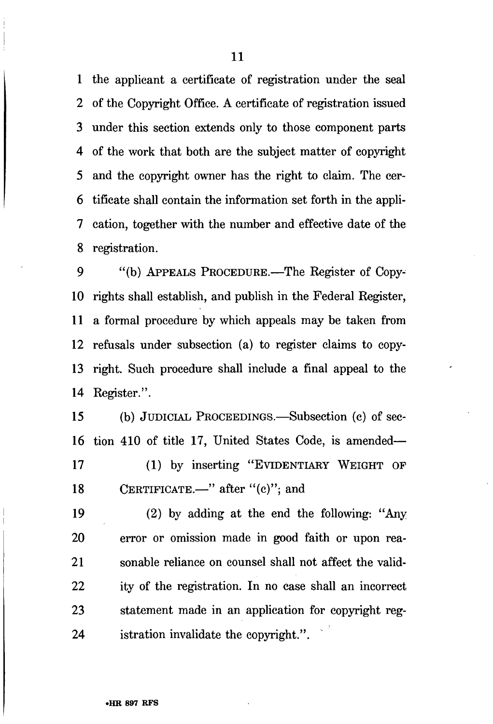1 the applicant a certificate of registration under the seal 2 of the Copyright Office. A certificate of registration issued 3 under this section extends only to those component parts 4 of the work that both are the subject matter of copyright 5 and the copyright owner has the right to claim. The cer-6 tificate shall contain the information set forth in the appli-7 cation, together with the number and effective date of the 8 registration.

9 "(b) APPEALS PROCEDURE.—The Register of Copy-10 rights shall establish, and publish in the Federal Register, 11 a formal procedure by which appeals may be taken from 12 refusals under subsection (a) to register claims to copy-13 right. Such procedure shall include a final appeal to the 14 Register.".

15 (b) JUDICIAL PROCEEDINGS.—Subsection (c) of sec-16 tion 410 of title 17, United States Code, is amended— 17 (1) by inserting "EVIDENTIARY WEIGHT OF 18 CERTIFICATE.—" after "(c)"; and

19 (2) by adding at the end the following: "Any 20 error or omission made in good faith or upon rea-21 sonable reliance on counsel shall not affect the valid-22 ity of the registration. In no case shall an incorrect 23 statement made in an application for copyright reg-24 istration invalidate the copyright.".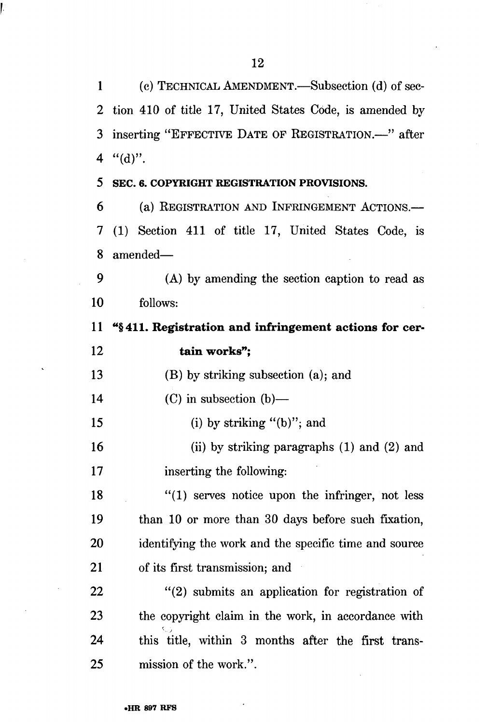1 (c) TECHNICAL AMENDMENT.—Subsection (d) of sec-2 tion 410 of title 17, United States Code, is amended by 3 inserting "EFFECTIVE DATE OF REGISTRATION.—" after 4  $"({\rm d})"$ .

#### **5 SEC. 6. COPYRIGHT REGISTRATION PROVISIONS.**

**r** 

6 (a) REGISTRATION AND INFRINGEMENT ACTIONS.— 7 (1) Section 411 of title 17, United States Code, is 8 amended—

9 (A) by amending the section caption to read as 10 follows:

11 "§411. Registration and infringement actions for cer-12 tain works";

13 (B) by striking subsection (a); and

14 (C) in subsection (b)—

15 (i) by striking "(b)"; and

16 (ii) by striking paragraphs (1) and (2) and 17 inserting the following:

18 "(1) serves notice upon the infringer, not less 19 than 10 or more than 30 days before such fixation, 20 identifying the work and the specific time and source 21 of its first transmission; and

22 "(2) submits an application for registration of 23 the copyright claim in the work, in accordance with 24 this title, within 3 months after the first trans-25 mission of the work.".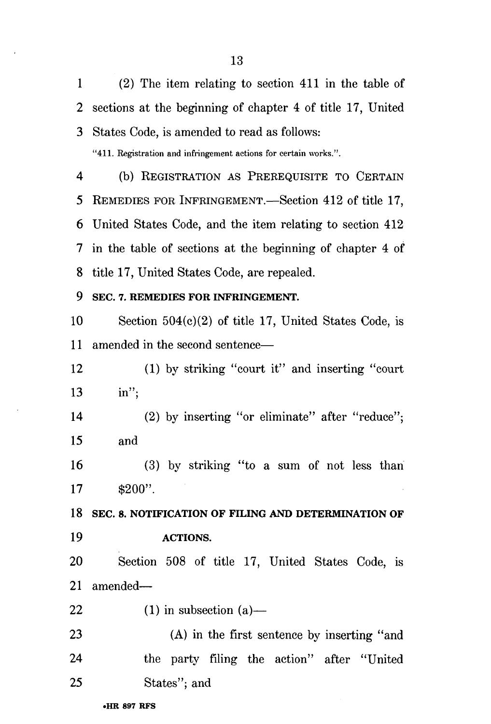1 (2) The item relating to section 411 in the table of 2 sections at the beginning of chapter 4 of title 17, United 3 States Code, is amended to read as follows:

"411. Registration and infringement actions for certain works.".

4 (b) REGISTRATION AS PREREQUISITE TO CERTAIN 5 REMEDIES FOR INFRINGEMENT.—Section 412 of title 17, 6 United States Code, and the item relating to section 412 7 in the table of sections at the beginning of chapter 4 of 8 title 17, United States Code, are repealed.

### **9 SEC. 7. REMEDIES FOR INFRINGEMENT.**

10 Section 504(c)(2) of title 17, United States Code, is 11 amended in the second sentence—

12 (1) by striking "court it" and inserting "court 13 in";

14 (2) by inserting "or eliminate" after "reduce"; 15 and

16 (3) by striking "to a sum of not less than  $17 \quad \text{\$200".}$ 

18 SEC. 8. NOTIFICATION OF FILING AND DETERMINATION OF **19 ACTIONS.** 

20 Section 508 of title 17, United States Code, is 21 amended—

22 (1) in subsection  $(a)$ —

23 (A) in the first sentence by inserting "and 24 the party filing the action" after "United 25 States"; and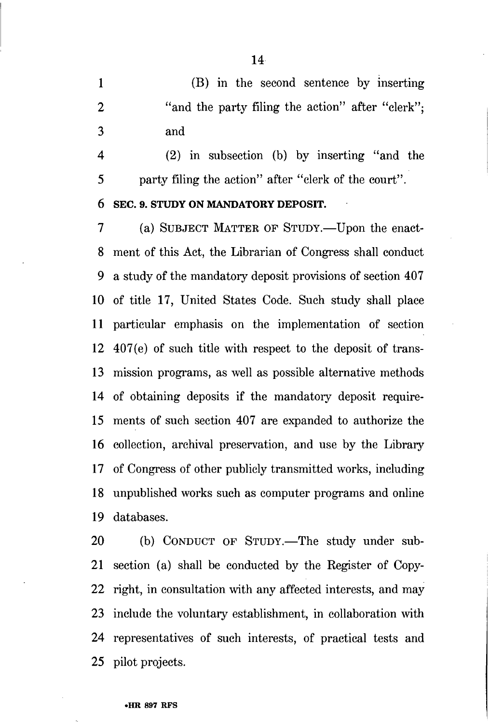1 (B) in the second sentence by inserting 2 "and the party filing the action" after "clerk"; 3 and

4 (2) in subsection (b) by inserting "and the 5 party filing the action" after "clerk of the court".

#### 6 SEC. 9. STUDY ON MANDATORY DEPOSIT.

7 (a) SUBJECT MATTER OF STUDY.—Upon the enact-8 ment of this Act, the Librarian of Congress shall conduct 9 a study of the mandatory deposit provisions of section 407 10 of title 17, United States Code. Such study shall place 11 particular emphasis on the implementation of section 12 407(e) of such title with respect to the deposit of trans-13 mission programs, as well as possible alternative methods 14 of obtaining deposits if the mandatory deposit require-15 ments of such section 407 are expanded to authorize the 16 collection, archival preservation, and use by the Library 17 of Congress of other publicly transmitted works, including 18 unpublished works such as computer programs and online 19 databases.

20 (b) CONDUCT OF STUDY.—The study under sub-21 section (a) shall be conducted by the Register of Copy-22 right, in consultation with any affected interests, and may 23 include the voluntary establishment, in collaboration with 24 representatives of such interests, of practical tests and 25 pilot projects.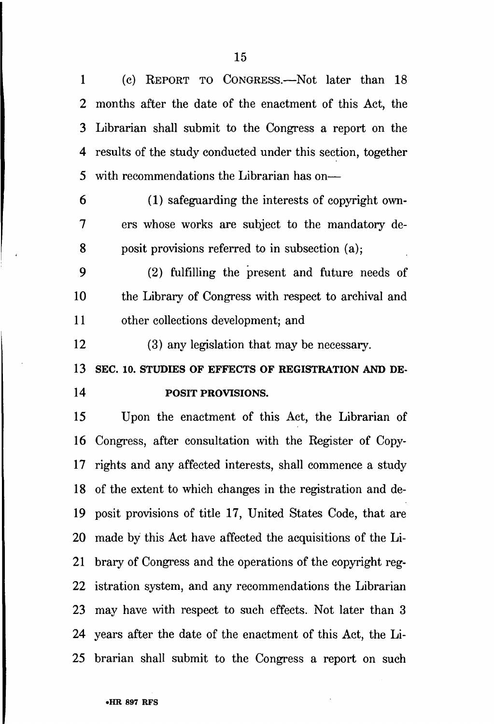1 (c) REPORT TO CONGRESS.—Not later than 18 2 months after the date of the enactment of this Act, the 3 Librarian shall submit to the Congress a report on the 4 results of the study conducted under this section, together 5 with recommendations the Librarian has on—

6 (1) safeguarding the interests of copyright own-7 ers whose works are subject to the mandatory de-8 posit provisions referred to in subsection (a);

9 (2) fulfilling the present and future needs of 10 the Library of Congress with respect to archival and 11 other collections development; and

12 (3) any legislation that may be necessary.

**13 SEC. 10. STUDIES OF EFFECTS OF REGISTRATION AND DE-14 POSIT PROVISIONS.** 

15 Upon the enactment of this Act, the Librarian of 16 Congress, after consultation with the Register of Copy-17 rights and any affected interests, shall commence a study 18 of the extent to which changes in the registration and de-19 posit provisions of title 17, United States Code, that are 20 made by this Act have affected the acquisitions of the Li-21 brary of Congress and the operations of the copyright reg-22 istration system, and any recommendations the Librarian 23 may have with respect to such effects. Not later than 3 24 years after the date of the enactment of this Act, the Li-25 brarian shall submit to the Congress a report on such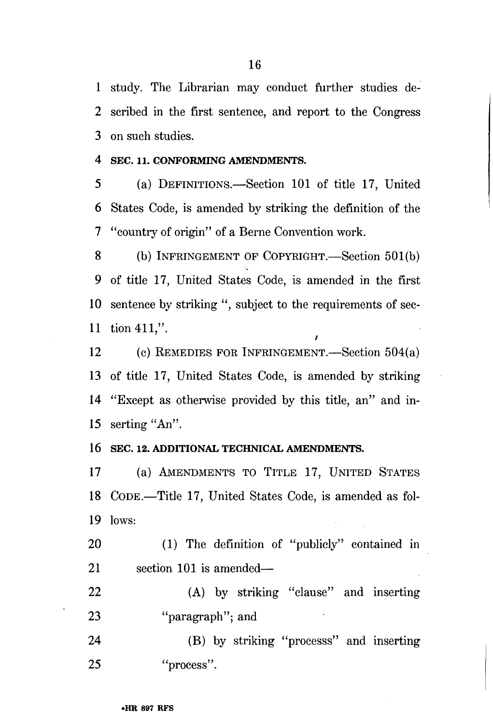1 study. The Librarian may conduct further studies de-2 scribed in the first sentence, and report to the Congress 3 on such studies.

#### 4 SEC. 11. CONFORMING AMENDMENTS.

5 (a) DEFINITIONS.—Section 101 of title 17, United 6 States Code, is amended by striking the definition of the 7 "country of origin" of a Berne Convention work.

8 (b) INFRINGEMENT OF COPYRIGHT.—Section 501(b) 9 of title 17, United States Code, is amended in the first 10 sentence by striking ", subject to the requirements of sec-11 tion 411,".

12 (c) REMEDIES FOR INFRINGEMENT.—Section 504(a) 13 of title 17, United States Code, is amended by striking 14 "Except as otherwise provided by this title, an" and in-15 serting "An".

#### 16 SEC. 12. ADDITIONAL TECHNICAL AMENDMENTS.

17 (a) AMENDMENTS TO TITLE 17, UNITED STATES 18 CODE.—Title 17, United States Code, is amended as fol-19 lows:

20 (1) The definition of "publicly" contained in 21 section 101 is amended—

22 (A) by striking "clause" and inserting 23 "paragraph"; and

24 (B) by striking "processs" and inserting 25 "process".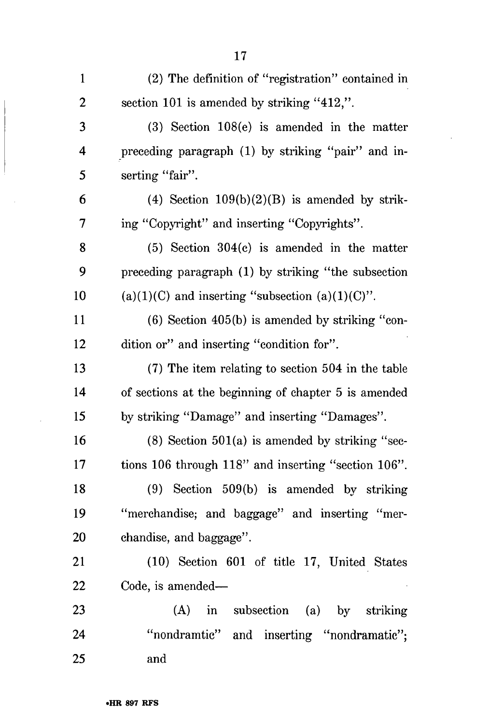| $\mathbf{1}$   | (2) The definition of "registration" contained in    |
|----------------|------------------------------------------------------|
| $\overline{2}$ | section 101 is amended by striking "412,".           |
| 3              | $(3)$ Section 108 $(e)$ is amended in the matter     |
| 4              | preceding paragraph (1) by striking "pair" and in-   |
| 5              | serting "fair".                                      |
| 6              | (4) Section $109(b)(2)(B)$ is amended by strik-      |
| 7              | ing "Copyright" and inserting "Copyrights".          |
| 8              | $(5)$ Section 304 $(c)$ is amended in the matter     |
| 9              | preceding paragraph (1) by striking "the subsection  |
| 10             | $(a)(1)(C)$ and inserting "subsection $(a)(1)(C)$ ". |
| 11             | $(6)$ Section 405 $(b)$ is amended by striking "con- |
| 12             | dition or" and inserting "condition for".            |
| 13             | (7) The item relating to section 504 in the table    |
| 14             | of sections at the beginning of chapter 5 is amended |
| 15             | by striking "Damage" and inserting "Damages".        |
| 16             | $(8)$ Section 501 $(a)$ is amended by striking "sec- |
| 17             | tions 106 through 118" and inserting "section 106".  |
| 18             | $(9)$ Section 509(b) is amended by striking          |
| 19             | "merchandise; and baggage" and inserting "mer-       |
| <b>20</b>      | chandise, and baggage".                              |
| 21             | (10) Section 601 of title 17, United States          |
| 22             | Code, is amended—                                    |
| 23             | (A) in subsection (a) by striking                    |
| 24             | "nondramtic" and inserting "nondramatic";            |
| 25             | and                                                  |

 $\ddot{\phantom{a}}$ 

 $\sim$  .

 $\bar{\beta}$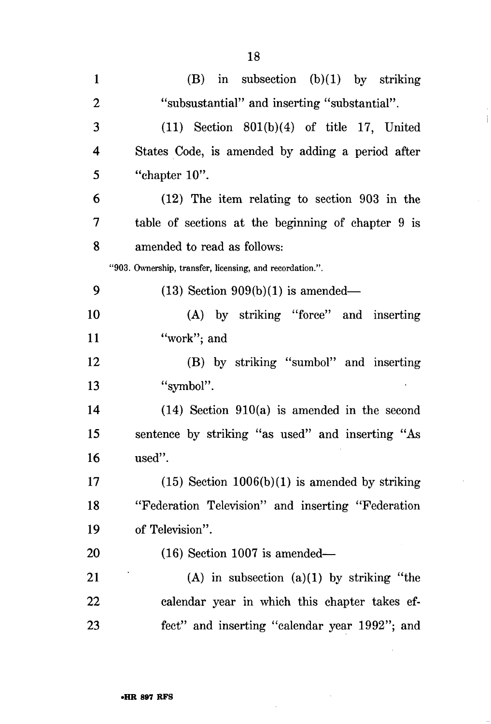| $\mathbf{1}$ | $(B)$ in subsection $(b)(1)$ by striking                 |
|--------------|----------------------------------------------------------|
| $\mathbf{2}$ | "subsustantial" and inserting "substantial".             |
| 3            | $(11)$ Section $801(b)(4)$ of title 17, United           |
| 4            | States Code, is amended by adding a period after         |
| 5            | "chapter $10$ ".                                         |
| 6            | (12) The item relating to section 903 in the             |
| 7            | table of sections at the beginning of chapter 9 is       |
| 8            | amended to read as follows:                              |
|              | "903. Ownership, transfer, licensing, and recordation.". |
| 9            | $(13)$ Section $909(b)(1)$ is amended—                   |
| 10           | (A) by striking "force" and inserting                    |
| 11           | "work"; and                                              |
| 12           | (B) by striking "sumbol" and inserting                   |
| 13           | "symbol".                                                |
| 14           | $(14)$ Section 910(a) is amended in the second           |
| 15           | sentence by striking "as used" and inserting "As         |
| 16           | used".                                                   |
| 17           | $(15)$ Section 1006(b)(1) is amended by striking         |
| 18           | "Federation Television" and inserting "Federation        |
| 19           | of Television".                                          |
| 20           | $(16)$ Section 1007 is amended—                          |
| 21           | $(A)$ in subsection $(a)(1)$ by striking "the            |
| 22           | calendar year in which this chapter takes ef-            |
| 23           | fect" and inserting "calendar year 1992"; and            |

 $\bar{\mathcal{A}}$ 

 $\bar{\tau}$  $\frac{1}{2}$ 

 $\epsilon$ 

 $\bar{\beta}$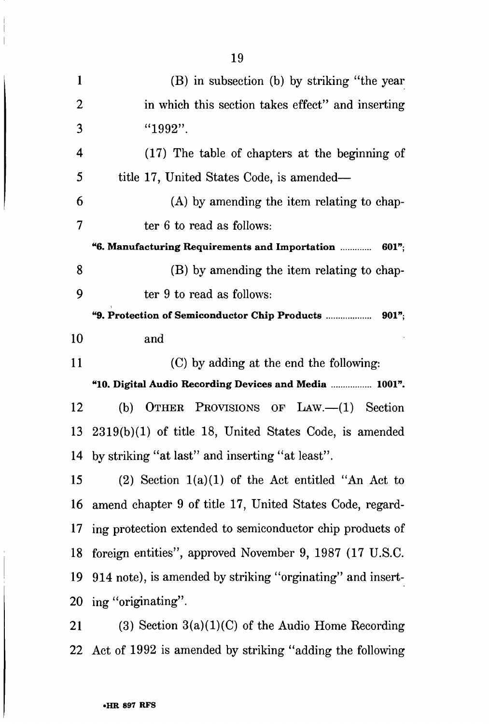| $\mathbf{1}$   | (B) in subsection (b) by striking "the year                        |
|----------------|--------------------------------------------------------------------|
| $\overline{2}$ | in which this section takes effect" and inserting                  |
| 3              | "1992".                                                            |
| 4              | (17) The table of chapters at the beginning of                     |
| 5              | title 17, United States Code, is amended—                          |
| 6              | (A) by amending the item relating to chap-                         |
| 7              | ter 6 to read as follows:                                          |
|                | <b>"6. Manufacturing Requirements and Importation </b><br>$601$ "; |
| 8              | (B) by amending the item relating to chap-                         |
| 9              | ter 9 to read as follows:                                          |
|                |                                                                    |
| 10             | and                                                                |
| 11             | (C) by adding at the end the following:                            |
|                | "10. Digital Audio Recording Devices and Media  1001".             |
| 12             | OTHER PROVISIONS OF $Law. (1)$ Section<br>(b)                      |
| 13             | $2319(b)(1)$ of title 18, United States Code, is amended           |
| 14             | by striking "at last" and inserting "at least".                    |
| 15             | $(2)$ Section 1(a)(1) of the Act entitled "An Act to               |
| 16             | amend chapter 9 of title 17, United States Code, regard-           |
| 17             | ing protection extended to semiconductor chip products of          |
| 18             | foreign entities", approved November 9, 1987 (17 U.S.C.            |
| 19             | 914 note), is amended by striking "orginating" and insert-         |
|                | 20 ing "originating".                                              |
| 21             | (3) Section $3(a)(1)(C)$ of the Audio Home Recording               |
|                |                                                                    |

 $\mathcal{L}$  and  $\mathcal{L}$  is a governing the following  $\mathcal{L}$ 

j  $\frac{1}{1}$